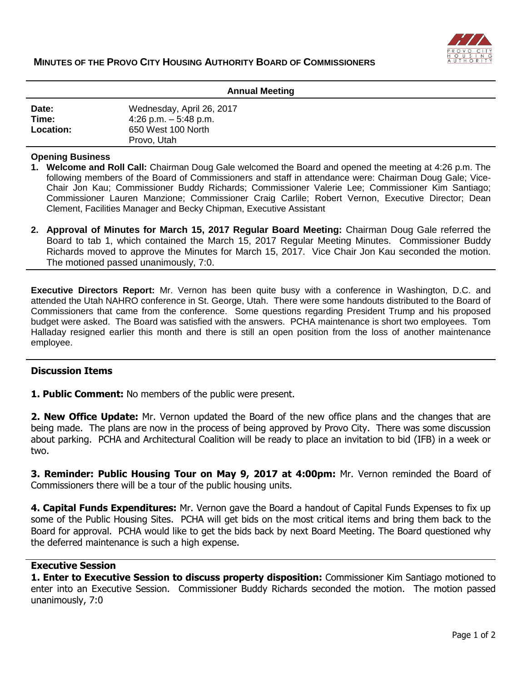

| <b>Annual Meeting</b> |                           |
|-----------------------|---------------------------|
| Date:                 | Wednesday, April 26, 2017 |
| Time:                 | 4:26 p.m. $-5:48$ p.m.    |
| Location:             | 650 West 100 North        |
|                       | Provo, Utah               |

### **Opening Business**

- **1. Welcome and Roll Call:** Chairman Doug Gale welcomed the Board and opened the meeting at 4:26 p.m. The following members of the Board of Commissioners and staff in attendance were: Chairman Doug Gale; Vice-Chair Jon Kau; Commissioner Buddy Richards; Commissioner Valerie Lee; Commissioner Kim Santiago; Commissioner Lauren Manzione; Commissioner Craig Carlile; Robert Vernon, Executive Director; Dean Clement, Facilities Manager and Becky Chipman, Executive Assistant
- **2. Approval of Minutes for March 15, 2017 Regular Board Meeting:** Chairman Doug Gale referred the Board to tab 1, which contained the March 15, 2017 Regular Meeting Minutes. Commissioner Buddy Richards moved to approve the Minutes for March 15, 2017. Vice Chair Jon Kau seconded the motion. The motioned passed unanimously, 7:0.

**Executive Directors Report:** Mr. Vernon has been quite busy with a conference in Washington, D.C. and attended the Utah NAHRO conference in St. George, Utah. There were some handouts distributed to the Board of Commissioners that came from the conference. Some questions regarding President Trump and his proposed budget were asked. The Board was satisfied with the answers. PCHA maintenance is short two employees. Tom Halladay resigned earlier this month and there is still an open position from the loss of another maintenance employee.

### **Discussion Items**

**1. Public Comment:** No members of the public were present.

**2. New Office Update:** Mr. Vernon updated the Board of the new office plans and the changes that are being made. The plans are now in the process of being approved by Provo City. There was some discussion about parking. PCHA and Architectural Coalition will be ready to place an invitation to bid (IFB) in a week or two.

**3. Reminder: Public Housing Tour on May 9, 2017 at 4:00pm:** Mr. Vernon reminded the Board of Commissioners there will be a tour of the public housing units.

**4. Capital Funds Expenditures:** Mr. Vernon gave the Board a handout of Capital Funds Expenses to fix up some of the Public Housing Sites. PCHA will get bids on the most critical items and bring them back to the Board for approval. PCHA would like to get the bids back by next Board Meeting. The Board questioned why the deferred maintenance is such a high expense.

### **Executive Session**

**1. Enter to Executive Session to discuss property disposition:** Commissioner Kim Santiago motioned to enter into an Executive Session. Commissioner Buddy Richards seconded the motion. The motion passed unanimously, 7:0